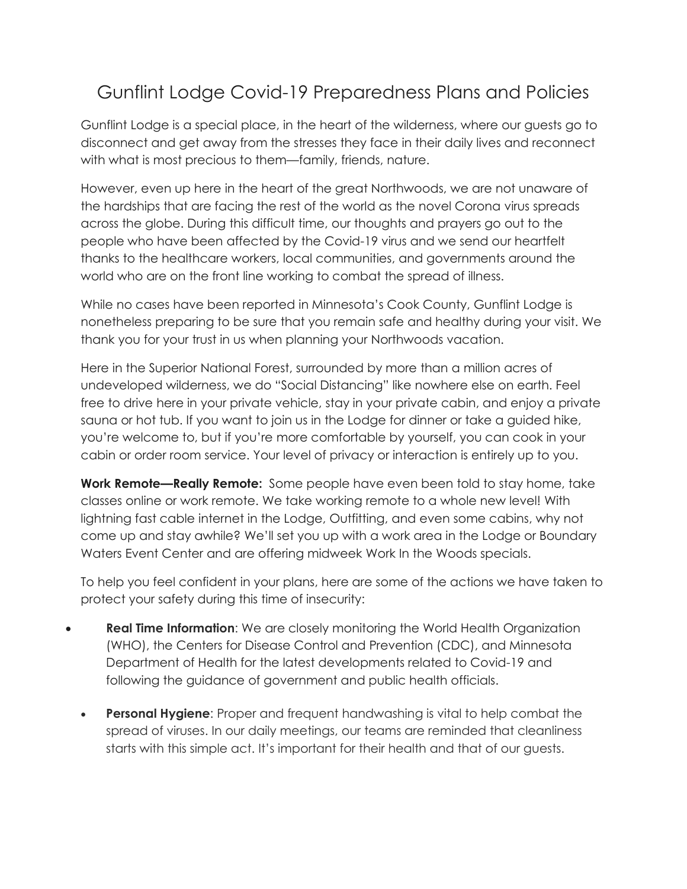## Gunflint Lodge Covid-19 Preparedness Plans and Policies

Gunflint Lodge is a special place, in the heart of the wilderness, where our guests go to disconnect and get away from the stresses they face in their daily lives and reconnect with what is most precious to them—family, friends, nature.

However, even up here in the heart of the great Northwoods, we are not unaware of the hardships that are facing the rest of the world as the novel Corona virus spreads across the globe. During this difficult time, our thoughts and prayers go out to the people who have been affected by the Covid-19 virus and we send our heartfelt thanks to the healthcare workers, local communities, and governments around the world who are on the front line working to combat the spread of illness.

While no cases have been reported in Minnesota's Cook County, Gunflint Lodge is nonetheless preparing to be sure that you remain safe and healthy during your visit. We thank you for your trust in us when planning your Northwoods vacation.

Here in the Superior National Forest, surrounded by more than a million acres of undeveloped wilderness, we do "Social Distancing" like nowhere else on earth. Feel free to drive here in your private vehicle, stay in your private cabin, and enjoy a private sauna or hot tub. If you want to join us in the Lodge for dinner or take a guided hike, you're welcome to, but if you're more comfortable by yourself, you can cook in your cabin or order room service. Your level of privacy or interaction is entirely up to you.

**Work Remote—Really Remote:** Some people have even been told to stay home, take classes online or work remote. We take working remote to a whole new level! With lightning fast cable internet in the Lodge, Outfitting, and even some cabins, why not come up and stay awhile? We'll set you up with a work area in the Lodge or Boundary Waters Event Center and are offering midweek Work In the Woods specials.

To help you feel confident in your plans, here are some of the actions we have taken to protect your safety during this time of insecurity:

- **Real Time Information**: We are closely monitoring the World Health Organization (WHO), the Centers for Disease Control and Prevention (CDC), and Minnesota Department of Health for the latest developments related to Covid-19 and following the guidance of government and public health officials.
	- **Personal Hygiene:** Proper and frequent handwashing is vital to help combat the spread of viruses. In our daily meetings, our teams are reminded that cleanliness starts with this simple act. It's important for their health and that of our guests.